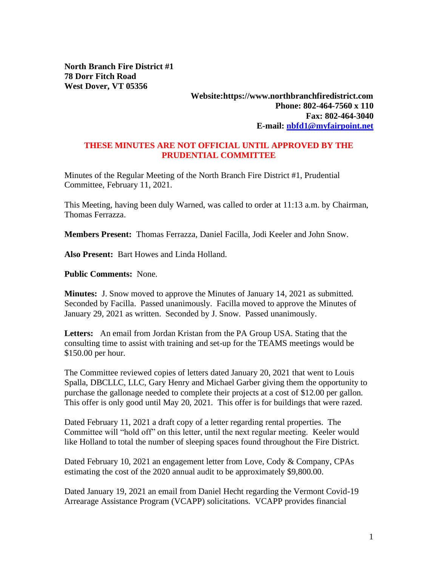**North Branch Fire District #1 78 Dorr Fitch Road West Dover, VT 05356**

## **Website:https://www.northbranchfiredistrict.com Phone: 802-464-7560 x 110 Fax: 802-464-3040 E-mail: [nbfd1@myfairpoint.net](mailto:nbfd1@myfairpoint.net)**

## **THESE MINUTES ARE NOT OFFICIAL UNTIL APPROVED BY THE PRUDENTIAL COMMITTEE**

Minutes of the Regular Meeting of the North Branch Fire District #1, Prudential Committee, February 11, 2021.

This Meeting, having been duly Warned, was called to order at 11:13 a.m. by Chairman, Thomas Ferrazza.

**Members Present:** Thomas Ferrazza, Daniel Facilla, Jodi Keeler and John Snow.

**Also Present:** Bart Howes and Linda Holland.

**Public Comments:** None.

**Minutes:** J. Snow moved to approve the Minutes of January 14, 2021 as submitted. Seconded by Facilla. Passed unanimously. Facilla moved to approve the Minutes of January 29, 2021 as written. Seconded by J. Snow. Passed unanimously.

**Letters:** An email from Jordan Kristan from the PA Group USA. Stating that the consulting time to assist with training and set-up for the TEAMS meetings would be \$150.00 per hour.

The Committee reviewed copies of letters dated January 20, 2021 that went to Louis Spalla, DBCLLC, LLC, Gary Henry and Michael Garber giving them the opportunity to purchase the gallonage needed to complete their projects at a cost of \$12.00 per gallon. This offer is only good until May 20, 2021. This offer is for buildings that were razed.

Dated February 11, 2021 a draft copy of a letter regarding rental properties. The Committee will "hold off" on this letter, until the next regular meeting. Keeler would like Holland to total the number of sleeping spaces found throughout the Fire District.

Dated February 10, 2021 an engagement letter from Love, Cody & Company, CPAs estimating the cost of the 2020 annual audit to be approximately \$9,800.00.

Dated January 19, 2021 an email from Daniel Hecht regarding the Vermont Covid-19 Arrearage Assistance Program (VCAPP) solicitations. VCAPP provides financial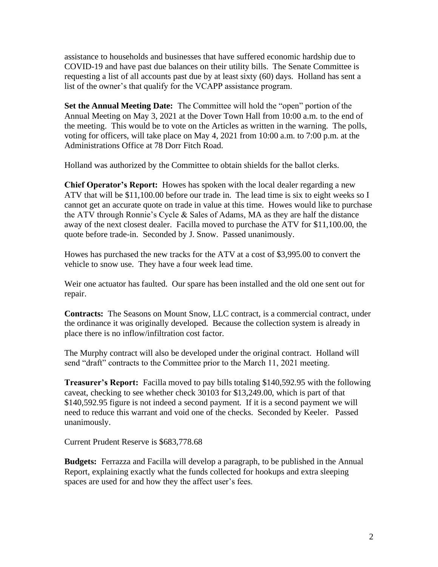assistance to households and businesses that have suffered economic hardship due to COVID-19 and have past due balances on their utility bills. The Senate Committee is requesting a list of all accounts past due by at least sixty (60) days. Holland has sent a list of the owner's that qualify for the VCAPP assistance program.

**Set the Annual Meeting Date:** The Committee will hold the "open" portion of the Annual Meeting on May 3, 2021 at the Dover Town Hall from 10:00 a.m. to the end of the meeting. This would be to vote on the Articles as written in the warning. The polls, voting for officers, will take place on May 4, 2021 from 10:00 a.m. to 7:00 p.m. at the Administrations Office at 78 Dorr Fitch Road.

Holland was authorized by the Committee to obtain shields for the ballot clerks.

**Chief Operator's Report:** Howes has spoken with the local dealer regarding a new ATV that will be \$11,100.00 before our trade in. The lead time is six to eight weeks so I cannot get an accurate quote on trade in value at this time. Howes would like to purchase the ATV through Ronnie's Cycle & Sales of Adams, MA as they are half the distance away of the next closest dealer. Facilla moved to purchase the ATV for \$11,100.00, the quote before trade-in. Seconded by J. Snow. Passed unanimously.

Howes has purchased the new tracks for the ATV at a cost of \$3,995.00 to convert the vehicle to snow use. They have a four week lead time.

Weir one actuator has faulted. Our spare has been installed and the old one sent out for repair.

**Contracts:** The Seasons on Mount Snow, LLC contract, is a commercial contract, under the ordinance it was originally developed. Because the collection system is already in place there is no inflow/infiltration cost factor.

The Murphy contract will also be developed under the original contract. Holland will send "draft" contracts to the Committee prior to the March 11, 2021 meeting.

**Treasurer's Report:** Facilla moved to pay bills totaling \$140,592.95 with the following caveat, checking to see whether check 30103 for \$13,249.00, which is part of that \$140,592.95 figure is not indeed a second payment. If it is a second payment we will need to reduce this warrant and void one of the checks. Seconded by Keeler. Passed unanimously.

Current Prudent Reserve is \$683,778.68

**Budgets:** Ferrazza and Facilla will develop a paragraph, to be published in the Annual Report, explaining exactly what the funds collected for hookups and extra sleeping spaces are used for and how they the affect user's fees.